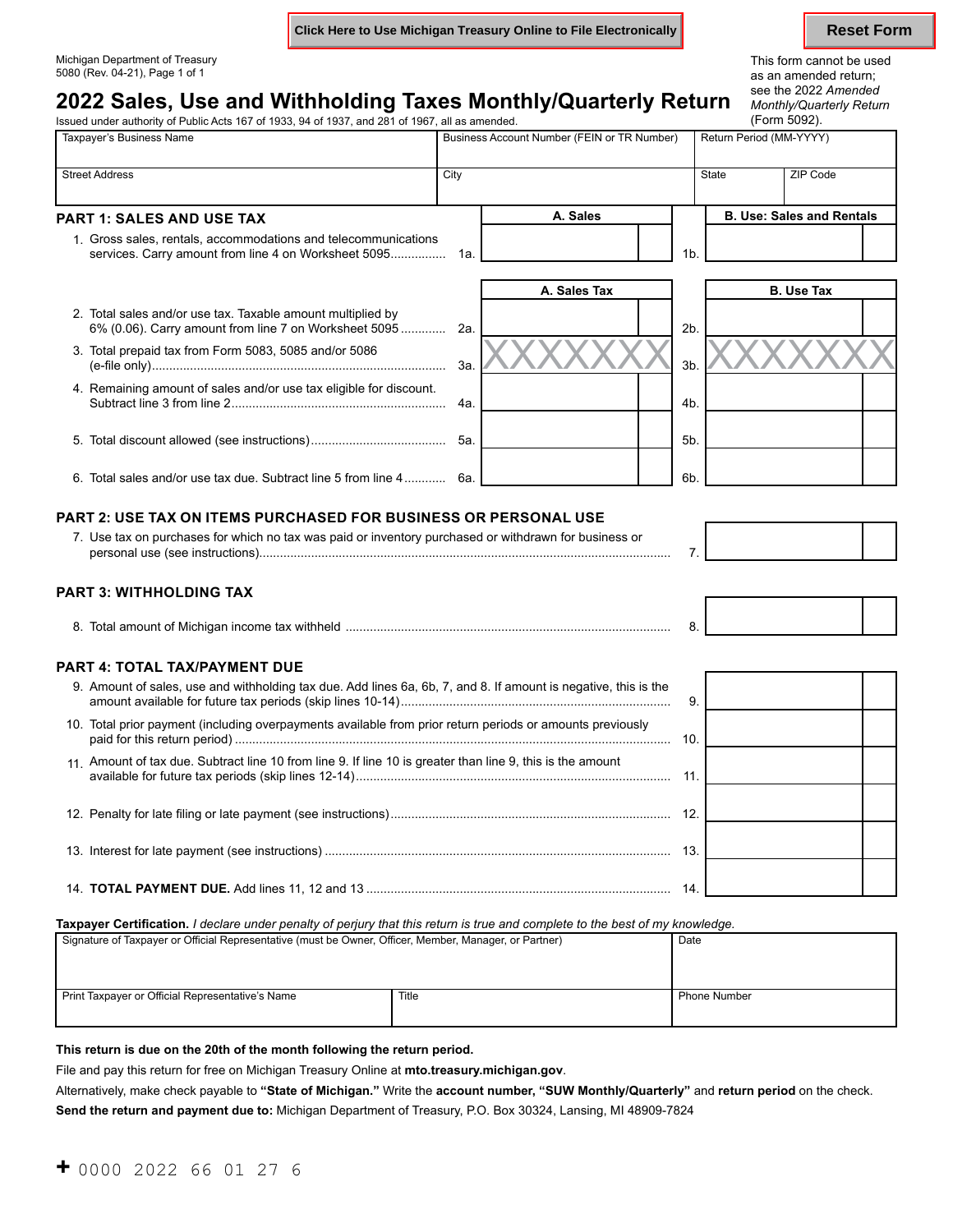**Click Here to Use Michigan Treasury Online to File Electronically <b>Reset Form** Reset Form

# Michigan Department of Treasury and the used of the state of the state of the state of the state of the state of the state of the state of the state of the state of the state of the state of the state of the state of the s

## **2022 Sales, Use and Withholding Taxes Monthly/Quarterly Return** *Monthly/Quarterly* Return *Monthly/Quarterly Return Monthly/Quarterly Atta by Cuarterly Return Monthly/Quarterly Return Monthly/Quarterly Return* (F Issued under authority of Public Acts 167 of 1933, 94 of 1937, and 281 of 1967, all as amended.

Monthly/Quarterly Return as an amended return;<br>see the 2022 Amended

| Taxpayer's Business Name                                                                                             |      | Business Account Number (FEIN or TR Number) |                |              | Return Period (MM-YYYY)          |  |
|----------------------------------------------------------------------------------------------------------------------|------|---------------------------------------------|----------------|--------------|----------------------------------|--|
| <b>Street Address</b>                                                                                                | City |                                             |                | <b>State</b> | ZIP Code                         |  |
| <b>PART 1: SALES AND USE TAX</b>                                                                                     |      | A. Sales                                    |                |              | <b>B. Use: Sales and Rentals</b> |  |
| 1. Gross sales, rentals, accommodations and telecommunications                                                       |      |                                             | 1 <sub>b</sub> |              |                                  |  |
|                                                                                                                      |      | A. Sales Tax                                |                |              | <b>B.</b> Use Tax                |  |
| 2. Total sales and/or use tax. Taxable amount multiplied by<br>6% (0.06). Carry amount from line 7 on Worksheet 5095 | 2a.  |                                             | 2 <sub>b</sub> |              |                                  |  |
| 3. Total prepaid tax from Form 5083, 5085 and/or 5086                                                                | 3а.  |                                             | 3 <sub>b</sub> |              |                                  |  |
| 4. Remaining amount of sales and/or use tax eligible for discount.                                                   | 4a.  |                                             | 4 <sub>b</sub> |              |                                  |  |
| 5.                                                                                                                   | 5а.  |                                             | 5 <sub>b</sub> |              |                                  |  |
| 6. Total sales and/or use tax due. Subtract line 5 from line 4                                                       | 6а.  |                                             | 6b.            |              |                                  |  |

### **PART 2: USE TAX ON ITEMS PURCHASED FOR BUSINESS OR PERSONAL USE**

| 7. Use tax on purchases for which no tax was paid or inventory purchased or withdrawn for business or |  |
|-------------------------------------------------------------------------------------------------------|--|
| personal use (see instructions)                                                                       |  |

### **PART 3: WITHHOLDING TAX**

| ⊺ Milchidan inc≀<br>шек.<br>лне |  |
|---------------------------------|--|
|---------------------------------|--|

### **PART 4: TOTAL TAX/PAYMENT DUE**

| 9. Amount of sales, use and withholding tax due. Add lines 6a, 6b, 7, and 8. If amount is negative, this is the | 9  |  |
|-----------------------------------------------------------------------------------------------------------------|----|--|
| 10. Total prior payment (including overpayments available from prior return periods or amounts previously       | 10 |  |
| 11 Amount of tax due. Subtract line 10 from line 9. If line 10 is greater than line 9, this is the amount       | 11 |  |
|                                                                                                                 |    |  |
|                                                                                                                 | 13 |  |
|                                                                                                                 | 14 |  |

**Taxpayer Certification.** *I declare under penalty of perjury that this return is true and complete to the best of my knowledge.* 

| Signature of Taxpayer or Official Representative (must be Owner, Officer, Member, Manager, or Partner) | Date  |                     |
|--------------------------------------------------------------------------------------------------------|-------|---------------------|
| Print Taxpayer or Official Representative's Name                                                       | Title | <b>Phone Number</b> |

### **This return is due on the 20th of the month following the return period.**

File and pay this return for free on Michigan Treasury Online at **[mto.treasury.michigan.gov](https://mto.treasury.michigan.gov)**.

Alternatively, make check payable to **"State of Michigan."** Write the **account number, "SUW Monthly/Quarterly"** and **return period** on the check.

**Send the return and payment due to:** Michigan Department of Treasury, P.O. Box 30324, Lansing, MI 48909-7824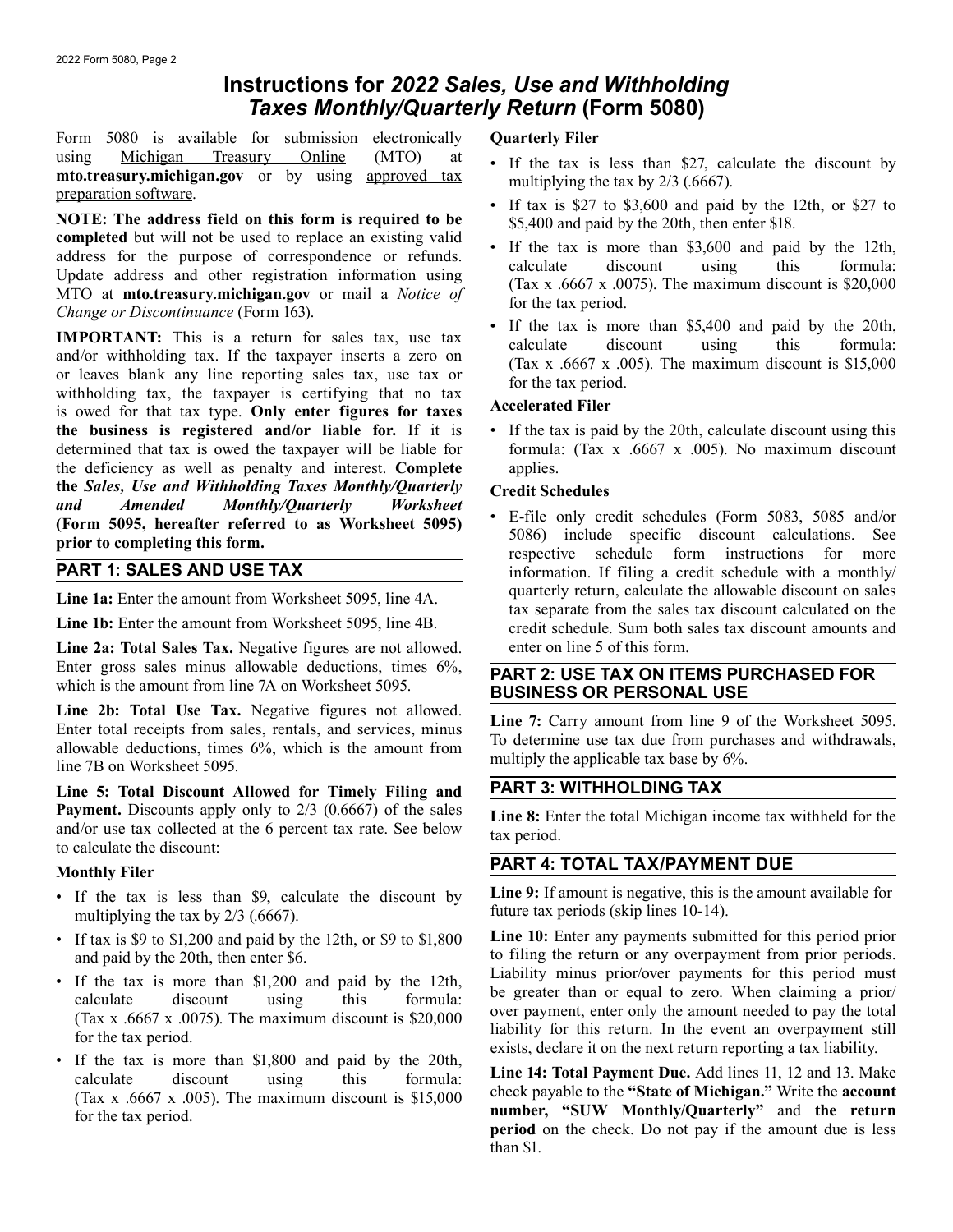# **Instructions for** *2022 Sales, Use and Withholding Taxes Monthly/Quarterly Return* **(Form 5080)**

Form 5080 is available for submission electronically **Quarterly Filer** 

usingMichigan Treasury Online (MTO) at **the set of the set of** the discount by multiplying the tax is less than \$27, calculate the discount by multiplying the tax by 2/3 (.6667).<br> **NOTE:** The address field on this form i

**IMPORTANT:** This is a return for sales tax, use tax<br>and/or withholding tax. If the taxpayer inserts a zero on<br>or leaves blank any line reporting sales tax, use tax or<br>withholding tax, the taxpayer is certifying that no ta **the business is registered and/or liable for.** If it is • If the tax is paid by the 20th, calculate discount using this determined that tax is owed the taxpayer will be liable for formula: (Tax x .6667 x .005). No maximum discount the deficiency as well as penalty and interest. **Complete** applies. **the Sales, Use and Withholding Taxes Monthly/Quarterly Credit Schedules** and **Amended** Monthly/Quarterly Worksheet **Constant Constant** *Monthly/Quarterly* 

Line 2a: Total Sales Tax. Negative figures are not allowed. enter on line 5 of this form. Enter gross sales minus allowable deductions, times 6%,<br>which is the amount from line 7A on Worksheet 5095.<br>**BUSINESS OR PERSONAL USE** 

**Line 2b: Total Use Tax.** Negative figures not allowed.<br>
Enter total receipts from sales, rentals, and services, minus<br>
allowable deductions, times 6%, which is the amount from<br>
line 7B on Worksheet 5095.<br>
To determine use

**Line 5: Total Discount Allowed for Timely Filing and PART 3: WITHHOLDING TAX Payment.** Discounts apply only to  $2/3$  (0.6667) of the sales<br>and/or use tax collected at the 6 percent tax rate. See below<br>to calculate the discount:

- multiplying the tax by  $2/3$  (.6667).
- 
- 
- If the tax is more than \$1,800 and paid by the 20th,<br>
calculate discount using this formula: Line 14: Total Payment Due. Add lines 11, 12 and 13. Make<br>
(Tax x .6667 x .005). The maximum discount is \$15,000<br>
for the tax p

- 
- 
- 
- 

(Form 5095, hereafter referred to as Worksheet 5095)<br>
The specific discount calculations. See<br>
TART 1: SALES AND USE TAX<br>
TART 1: SALES AND USE TAX<br>
TART 1: SALES AND USE TAX information. If filing a credit schedule with a monthly/ quarterly return, calculate the allowable discount on sales Line 1a: Enter the amount from Worksheet 5095, line 4A.<br>
Line 1b: Enter the amount from Worksheet 5095, line 4B.<br>
Line 1b: Enter the amount from Worksheet 5095, line 4B.<br>
Line 1b: Enter the amount from Worksheet 5095, line

## **PART 4: TOTAL TAX/PAYMENT DUE Monthly Filer**

• If the tax is less than \$9, calculate the discount by **Line 9:** If amount is negative, this is the amount available for multiplying the tax by  $2/3$  (6667)

• If tax is \$9 to \$1,200 and paid by the 12th, or \$9 to \$1,800 **Line 10:** Enter any payments submitted for this period prior and paid by the 20th, then enter \$6. to filing the return or any overpayment from prior periods.<br>If the tax is more than \$1.200 and paid by the 12th Liability minus prior/over payments for this period must • If the tax is more than \$1,200 and paid by the 12th,<br>calculate discount using this formula: be greater than or equal to zero. When claiming a prior/<br>(Tax x .6667 x .0075). The maximum discount is \$20,000 over payment, en

than \$1.